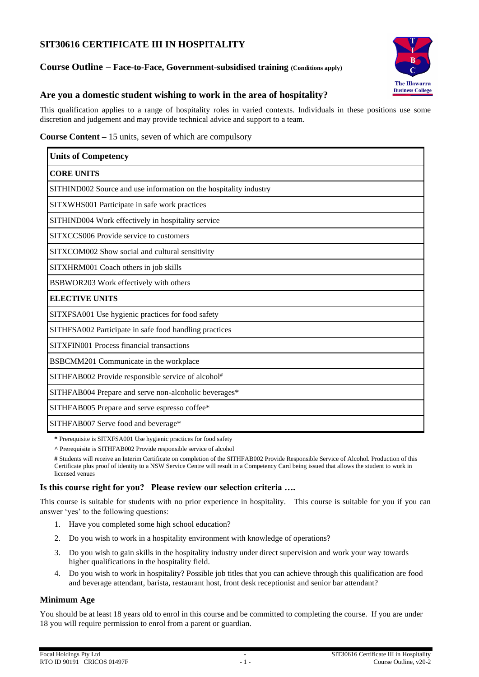# **SIT30616 CERTIFICATE III IN HOSPITALITY**

### **Course Outline – Face-to-Face, Government-subsidised training (Conditions apply)**



# **Are you a domestic student wishing to work in the area of hospitality?**

This qualification applies to a range of hospitality roles in varied contexts. Individuals in these positions use some discretion and judgement and may provide technical advice and support to a team.

### **Course Content –** 15 units, seven of which are compulsory

| <b>Units of Competency</b>                                        |
|-------------------------------------------------------------------|
| <b>CORE UNITS</b>                                                 |
| SITHIND002 Source and use information on the hospitality industry |
| SITXWHS001 Participate in safe work practices                     |
| SITHIND004 Work effectively in hospitality service                |
| SITXCCS006 Provide service to customers                           |
| SITXCOM002 Show social and cultural sensitivity                   |
| SITXHRM001 Coach others in job skills                             |
| BSBWOR203 Work effectively with others                            |
| <b>ELECTIVE UNITS</b>                                             |
| SITXFSA001 Use hygienic practices for food safety                 |
| SITHFSA002 Participate in safe food handling practices            |
| SITXFIN001 Process financial transactions                         |
| BSBCMM201 Communicate in the workplace                            |
| SITHFAB002 Provide responsible service of alcohol <sup>#</sup>    |
| SITHFAB004 Prepare and serve non-alcoholic beverages*             |
| SITHFAB005 Prepare and serve espresso coffee*                     |
| SITHFAB007 Serve food and beverage*                               |

**\*** Prerequisite is SITXFSA001 Use hygienic practices for food safety

**^** Prerequisite is SITHFAB002 Provide responsible service of alcohol

**#** Students will receive an Interim Certificate on completion of the SITHFAB002 Provide Responsible Service of Alcohol. Production of this Certificate plus proof of identity to a NSW Service Centre will result in a Competency Card being issued that allows the student to work in licensed venues

### **Is this course right for you? Please review our selection criteria ….**

This course is suitable for students with no prior experience in hospitality. This course is suitable for you if you can answer 'yes' to the following questions:

- 1. Have you completed some high school education?
- 2. Do you wish to work in a hospitality environment with knowledge of operations?
- 3. Do you wish to gain skills in the hospitality industry under direct supervision and work your way towards higher qualifications in the hospitality field.
- 4. Do you wish to work in hospitality? Possible job titles that you can achieve through this qualification are food and beverage attendant, barista, restaurant host, front desk receptionist and senior bar attendant?

### **Minimum Age**

You should be at least 18 years old to enrol in this course and be committed to completing the course. If you are under 18 you will require permission to enrol from a parent or guardian.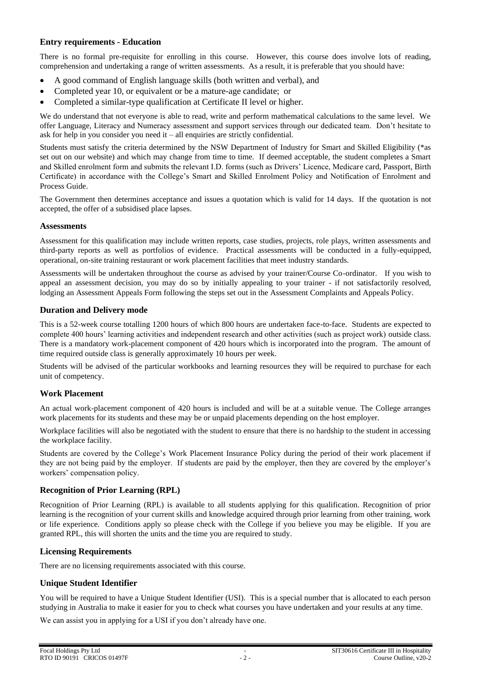### **Entry requirements - Education**

There is no formal pre-requisite for enrolling in this course. However, this course does involve lots of reading, comprehension and undertaking a range of written assessments. As a result, it is preferable that you should have:

- A good command of English language skills (both written and verbal), and
- Completed year 10, or equivalent or be a mature-age candidate; or
- Completed a similar-type qualification at Certificate II level or higher.

We do understand that not everyone is able to read, write and perform mathematical calculations to the same level. We offer Language, Literacy and Numeracy assessment and support services through our dedicated team. Don't hesitate to ask for help in you consider you need it – all enquiries are strictly confidential.

Students must satisfy the criteria determined by the NSW Department of Industry for Smart and Skilled Eligibility (\*as set out on our website) and which may change from time to time. If deemed acceptable, the student completes a Smart and Skilled enrolment form and submits the relevant I.D. forms (such as Drivers' Licence, Medicare card, Passport, Birth Certificate) in accordance with the College's Smart and Skilled Enrolment Policy and Notification of Enrolment and Process Guide.

The Government then determines acceptance and issues a quotation which is valid for 14 days. If the quotation is not accepted, the offer of a subsidised place lapses.

#### **Assessments**

Assessment for this qualification may include written reports, case studies, projects, role plays, written assessments and third-party reports as well as portfolios of evidence. Practical assessments will be conducted in a fully-equipped, operational, on-site training restaurant or work placement facilities that meet industry standards.

Assessments will be undertaken throughout the course as advised by your trainer/Course Co-ordinator. If you wish to appeal an assessment decision, you may do so by initially appealing to your trainer - if not satisfactorily resolved, lodging an Assessment Appeals Form following the steps set out in the Assessment Complaints and Appeals Policy.

#### **Duration and Delivery mode**

This is a 52-week course totalling 1200 hours of which 800 hours are undertaken face-to-face. Students are expected to complete 400 hours' learning activities and independent research and other activities (such as project work) outside class. There is a mandatory work-placement component of 420 hours which is incorporated into the program. The amount of time required outside class is generally approximately 10 hours per week.

Students will be advised of the particular workbooks and learning resources they will be required to purchase for each unit of competency.

#### **Work Placement**

An actual work-placement component of 420 hours is included and will be at a suitable venue. The College arranges work placements for its students and these may be or unpaid placements depending on the host employer.

Workplace facilities will also be negotiated with the student to ensure that there is no hardship to the student in accessing the workplace facility.

Students are covered by the College's Work Placement Insurance Policy during the period of their work placement if they are not being paid by the employer. If students are paid by the employer, then they are covered by the employer's workers' compensation policy.

#### **Recognition of Prior Learning (RPL)**

Recognition of Prior Learning (RPL) is available to all students applying for this qualification. Recognition of prior learning is the recognition of your current skills and knowledge acquired through prior learning from other training, work or life experience. Conditions apply so please check with the College if you believe you may be eligible. If you are granted RPL, this will shorten the units and the time you are required to study.

#### **Licensing Requirements**

There are no licensing requirements associated with this course.

### **Unique Student Identifier**

You will be required to have a Unique Student Identifier (USI). This is a special number that is allocated to each person studying in Australia to make it easier for you to check what courses you have undertaken and your results at any time.

We can assist you in applying for a USI if you don't already have one.